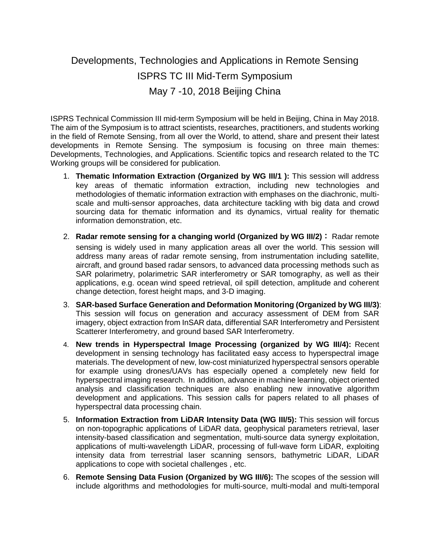Developments, Technologies and Applications in Remote Sensing ISPRS TC III Mid-Term Symposium May 7 -10, 2018 Beijing China

ISPRS Technical Commission III mid-term Symposium will be held in Beijing, China in May 2018. The aim of the Symposium is to attract scientists, researches, practitioners, and students working in the field of Remote Sensing, from all over the World, to attend, share and present their latest developments in Remote Sensing. The symposium is focusing on three main themes: Developments, Technologies, and Applications. Scientific topics and research related to the TC Working groups will be considered for publication.

- 1. **Thematic Information Extraction (Organized by WG III/1 ):** This session will address key areas of thematic information extraction, including new technologies and methodologies of thematic information extraction with emphases on the diachronic, multiscale and multi-sensor approaches, data architecture tackling with big data and crowd sourcing data for thematic information and its dynamics, virtual reality for thematic information demonstration, etc.
- 2. **Radar remote sensing for a changing world (Organized by WG III/2):** Radar remote sensing is widely used in many application areas all over the world. This session will address many areas of radar remote sensing, from instrumentation including satellite, aircraft, and ground based radar sensors, to advanced data processing methods such as SAR polarimetry, polarimetric SAR interferometry or SAR tomography, as well as their applications, e.g. ocean wind speed retrieval, oil spill detection, amplitude and coherent change detection, forest height maps, and 3-D imaging.
- 3. **SAR-based Surface Generation and Deformation Monitoring (Organized by WG III/3)**: This session will focus on generation and accuracy assessment of DEM from SAR imagery, object extraction from InSAR data, differential SAR Interferometry and Persistent Scatterer Interferometry, and ground based SAR Interferometry.
- 4. **New trends in Hyperspectral Image Processing (organized by WG III/4):** Recent development in sensing technology has facilitated easy access to hyperspectral image materials. The development of new, low-cost miniaturized hyperspectral sensors operable for example using drones/UAVs has especially opened a completely new field for hyperspectral imaging research. In addition, advance in machine learning, object oriented analysis and classification techniques are also enabling new innovative algorithm development and applications. This session calls for papers related to all phases of hyperspectral data processing chain.
- 5. **Information Extraction from LiDAR Intensity Data (WG III/5):** This session will forcus on non-topographic applications of LiDAR data, geophysical parameters retrieval, laser intensity-based classification and segmentation, multi-source data synergy exploitation, applications of multi-wavelength LiDAR, processing of full-wave form LiDAR, exploiting intensity data from terrestrial laser scanning sensors, bathymetric LiDAR, LiDAR applications to cope with societal challenges , etc.
- 6. **Remote Sensing Data Fusion (Organized by WG III/6):** The scopes of the session will include algorithms and methodologies for multi-source, multi-modal and multi-temporal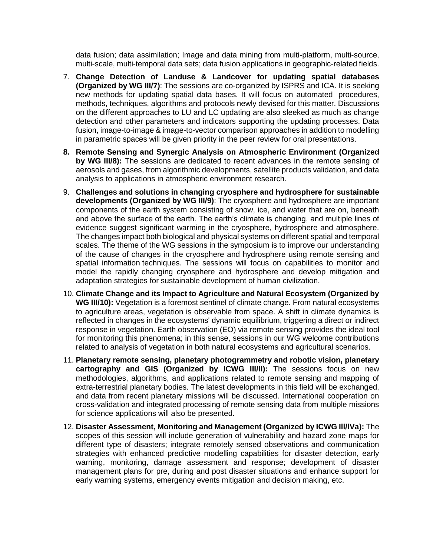data fusion; data assimilation; Image and data mining from multi-platform, multi-source, multi-scale, multi-temporal data sets; data fusion applications in geographic-related fields.

- 7. **Change Detection of Landuse & Landcover for updating spatial databases (Organized by WG III/7)**: The sessions are co-organized by ISPRS and ICA. It is seeking new methods for updating spatial data bases. It will focus on automated procedures, methods, techniques, algorithms and protocols newly devised for this matter. Discussions on the different approaches to LU and LC updating are also sleeked as much as change detection and other parameters and indicators supporting the updating processes. Data fusion, image-to-image & image-to-vector comparison approaches in addition to modelling in parametric spaces will be given priority in the peer review for oral presentations.
- **8. Remote Sensing and Synergic Analysis on Atmospheric Environment (Organized by WG III/8):** The sessions are dedicated to recent advances in the remote sensing of aerosols and gases, from algorithmic developments, satellite products validation, and data analysis to applications in atmospheric environment research.
- 9. **Challenges and solutions in changing cryosphere and hydrosphere for sustainable developments (Organized by WG III/9)**: The cryosphere and hydrosphere are important components of the earth system consisting of snow, ice, and water that are on, beneath and above the surface of the earth. The earth's climate is changing, and multiple lines of evidence suggest significant warming in the cryosphere, hydrosphere and atmosphere. The changes impact both biological and physical systems on different spatial and temporal scales. The theme of the WG sessions in the symposium is to improve our understanding of the cause of changes in the cryosphere and hydrosphere using remote sensing and spatial information techniques. The sessions will focus on capabilities to monitor and model the rapidly changing cryosphere and hydrosphere and develop mitigation and adaptation strategies for sustainable development of human civilization.
- 10. **Climate Change and its Impact to Agriculture and Natural Ecosystem (Organized by WG III/10):** Vegetation is a foremost sentinel of climate change. From natural ecosystems to agriculture areas, vegetation is observable from space. A shift in climate dynamics is reflected in changes in the ecosystems' dynamic equilibrium, triggering a direct or indirect response in vegetation. Earth observation (EO) via remote sensing provides the ideal tool for monitoring this phenomena; in this sense, sessions in our WG welcome contributions related to analysis of vegetation in both natural ecosystems and agricultural scenarios.
- 11. **Planetary remote sensing, planetary photogrammetry and robotic vision, planetary cartography and GIS (Organized by ICWG III/II):** The sessions focus on new methodologies, algorithms, and applications related to remote sensing and mapping of extra-terrestrial planetary bodies. The latest developments in this field will be exchanged, and data from recent planetary missions will be discussed. International cooperation on cross-validation and integrated processing of remote sensing data from multiple missions for science applications will also be presented.
- 12. **Disaster Assessment, Monitoring and Management (Organized by ICWG Ill/lVa):** The scopes of this session will include generation of vulnerability and hazard zone maps for different type of disasters; integrate remotely sensed observations and communication strategies with enhanced predictive modelling capabilities for disaster detection, early warning, monitoring, damage assessment and response; development of disaster management plans for pre, during and post disaster situations and enhance support for early warning systems, emergency events mitigation and decision making, etc.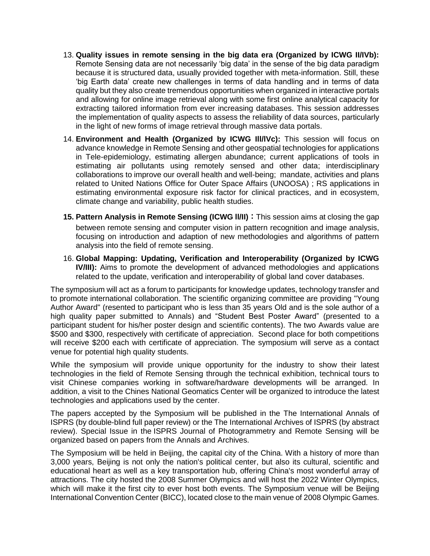- 13. **Quality issues in remote sensing in the big data era (Organized by ICWG II/IVb):**  Remote Sensing data are not necessarily 'big data' in the sense of the big data paradigm because it is structured data, usually provided together with meta-information. Still, these 'big Earth data' create new challenges in terms of data handling and in terms of data quality but they also create tremendous opportunities when organized in interactive portals and allowing for online image retrieval along with some first online analytical capacity for extracting tailored information from ever increasing databases. This session addresses the implementation of quality aspects to assess the reliability of data sources, particularly in the light of new forms of image retrieval through massive data portals.
- 14. **Environment and Health (Organized by ICWG Ill/lVc):** This session will focus on advance knowledge in Remote Sensing and other geospatial technologies for applications in Tele-epidemiology, estimating allergen abundance; current applications of tools in estimating air pollutants using remotely sensed and other data; interdisciplinary collaborations to improve our overall health and well-being; mandate, activities and plans related to United Nations Office for Outer Space Affairs (UNOOSA) ; RS applications in estimating environmental exposure risk factor for clinical practices, and in ecosystem, climate change and variability, public health studies.
- **15. Pattern Analysis in Remote Sensing (ICWG ll/II):**This session aims at closing the gap between remote sensing and computer vision in pattern recognition and image analysis, focusing on introduction and adaption of new methodologies and algorithms of pattern analysis into the field of remote sensing.
- 16. **Global Mapping: Updating, Verification and Interoperability (Organized by ICWG IV/III):** Aims to promote the development of advanced methodologies and applications related to the update, verification and interoperability of global land cover databases.

The symposium will act as a forum to participants for knowledge updates, technology transfer and to promote international collaboration. The scientific organizing committee are providing "Young Author Award" (resented to participant who is less than 35 years Old and is the sole author of a high quality paper submitted to Annals) and "Student Best Poster Award" (presented to a participant student for his/her poster design and scientific contents). The two Awards value are \$500 and \$300, respectively with certificate of appreciation. Second place for both competitions will receive \$200 each with certificate of appreciation. The symposium will serve as a contact venue for potential high quality students.

While the symposium will provide unique opportunity for the industry to show their latest technologies in the field of Remote Sensing through the technical exhibition, technical tours to visit Chinese companies working in software/hardware developments will be arranged. In addition, a visit to the Chines National Geomatics Center will be organized to introduce the latest technologies and applications used by the center.

The papers accepted by the Symposium will be published in the The International Annals of ISPRS (by double-blind full paper review) or the The International Archives of ISPRS (by abstract review). Special Issue in the ISPRS Journal of Photogrammetry and Remote Sensing will be organized based on papers from the Annals and Archives.

The Symposium will be held in Beijing, the capital city of the China. With a history of more than 3,000 years, Beijing is not only the nation's political center, but also its cultural, scientific and educational heart as well as a key transportation hub, offering China's most wonderful array of attractions. The city hosted the 2008 Summer Olympics and will host the 2022 Winter Olympics, which will make it the first city to ever host both events. The Symposium venue will be Beijing International Convention Center (BICC), located close to the main venue of 2008 Olympic Games.